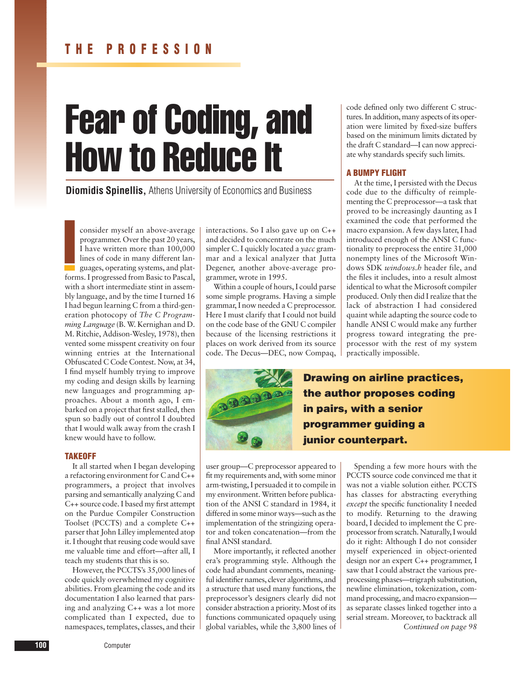# Fear of Coding, and How to Reduce It

**Diomidis Spinellis,** Athens University of Economics and Business

I consider myself an above-average programmer. Over the past 20 years, I have written more than 100,000 lines of code in many different languages, operating systems, and platforms. I progressed from Basic to Pascal, with a short intermediate stint in assembly language, and by the time I turned 16 I had begun learning C from a third-generation photocopy of *The C Programming Language* (B. W. Kernighan and D. M. Ritchie, Addison-Wesley, 1978), then vented some misspent creativity on four winning entries at the International Obfuscated C Code Contest. Now, at 34, I find myself humbly trying to improve my coding and design skills by learning new languages and programming approaches. About a month ago, I embarked on a project that first stalled, then spun so badly out of control I doubted that I would walk away from the crash I knew would have to follow.

#### **TAKEOFF**

It all started when I began developing a refactoring environment for C and C++ programmers, a project that involves parsing and semantically analyzing C and C++ source code. I based my first attempt on the Purdue Compiler Construction Toolset (PCCTS) and a complete C++ parser that John Lilley implemented atop it. I thought that reusing code would save me valuable time and effort—after all, I teach my students that this is so.

However, the PCCTS's 35,000 lines of code quickly overwhelmed my cognitive abilities. From gleaming the code and its documentation I also learned that parsing and analyzing C++ was a lot more complicated than I expected, due to namespaces, templates, classes, and their interactions. So I also gave up on C++ and decided to concentrate on the much simpler C. I quickly located a *yacc* grammar and a lexical analyzer that Jutta Degener, another above-average programmer, wrote in 1995.

Within a couple of hours, I could parse some simple programs. Having a simple grammar, I now needed a C preprocessor. Here I must clarify that I could not build on the code base of the GNU C compiler because of the licensing restrictions it places on work derived from its source code. The Decus—DEC, now Compaq,



code defined only two different C structures. In addition, many aspects of its operation were limited by fixed-size buffers based on the minimum limits dictated by the draft C standard—I can now appreciate why standards specify such limits.

#### **A BUMPY FLIGHT**

At the time, I persisted with the Decus code due to the difficulty of reimplementing the C preprocessor—a task that proved to be increasingly daunting as I examined the code that performed the macro expansion. A few days later, I had introduced enough of the ANSI C functionality to preprocess the entire 31,000 nonempty lines of the Microsoft Windows SDK *windows.h* header file, and the files it includes, into a result almost identical to what the Microsoft compiler produced. Only then did I realize that the lack of abstraction I had considered quaint while adapting the source code to handle ANSI C would make any further progress toward integrating the preprocessor with the rest of my system practically impossible.

**Drawing on airline practices, the author proposes coding in pairs, with a senior programmer guiding a junior counterpart.**

user group—C preprocessor appeared to fit my requirements and, with some minor arm-twisting, I persuaded it to compile in my environment. Written before publication of the ANSI C standard in 1984, it differed in some minor ways—such as the implementation of the stringizing operator and token concatenation—from the final ANSI standard.

More importantly, it reflected another era's programming style. Although the code had abundant comments, meaningful identifier names, clever algorithms, and a structure that used many functions, the preprocessor's designers clearly did not consider abstraction a priority. Most of its functions communicated opaquely using global variables, while the 3,800 lines of

Spending a few more hours with the PCCTS source code convinced me that it was not a viable solution either. PCCTS has classes for abstracting everything *except* the specific functionality I needed to modify. Returning to the drawing board, I decided to implement the C preprocessor from scratch. Naturally, I would do it right: Although I do not consider myself experienced in object-oriented design nor an expert C++ programmer, I saw that I could abstract the various preprocessing phases—trigraph substitution, newline elimination, tokenization, command processing, and macro expansion as separate classes linked together into a serial stream. Moreover, to backtrack all *Continued on page 98*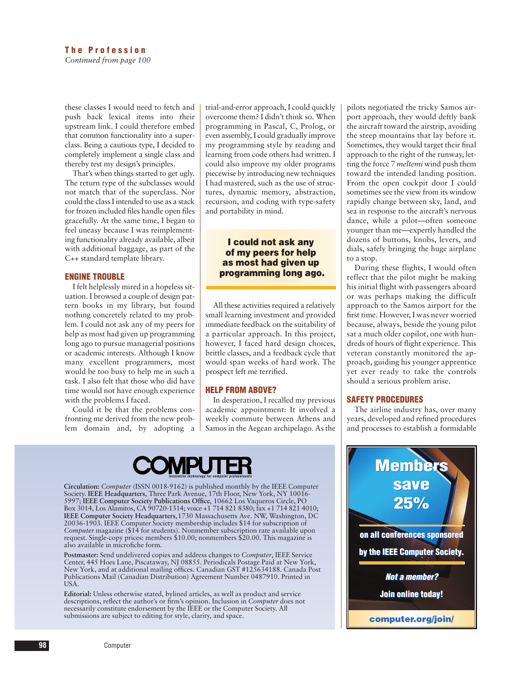these classes I would need to fetch and push back lexical items into their upstream link. I could therefore embed that common functionality into a superclass. Being a cautious type, I decided to completely implement a single class and thereby test my design's principles.

That's when things started to get ugly. The return type of the subclasses would not match that of the superclass. Nor could the class I intended to use as a stack for frozen included files handle open files gracefully. At the same time, I began to feel uneasy because I was reimplementing functionality already available, albeit with additional baggage, as part of the C++ standard template library.

#### **ENGINE TROUBLE**

I felt helplessly mired in a hopeless situation. I browsed a couple of design pattern books in my library, but found nothing concretely related to my problem. I could not ask any of my peers for help as most had given up programming long ago to pursue managerial positions or academic interests. Although I know many excellent programmers, most would be too busy to help me in such a task. I also felt that those who did have time would not have enough experience with the problems I faced.

Could it be that the problems confronting me derived from the new problem domain and, by adopting a trial-and-error approach, I could quickly overcome them? I didn't think so. When programming in Pascal, C, Prolog, or even assembly, I could gradually improve my programming style by reading and learning from code others had written. I could also improve my older programs piecewise by introducing new techniques I had mastered, such as the use of structures, dynamic memory, abstraction, recursion, and coding with type-safety and portability in mind.

## **I could not ask any of my peers for help as most had given up programming long ago.**

All these activities required a relatively small learning investment and provided immediate feedback on the suitability of a particular approach. In this project, however, I faced hard design choices, brittle classes, and a feedback cycle that would span weeks of hard work. The prospect left me terrified.

#### **HELP FROM ABOVE?**

In desperation, I recalled my previous academic appointment: It involved a weekly commute between Athens and Samos in the Aegean archipelago. As the pilots negotiated the tricky Samos airport approach, they would deftly bank the aircraft toward the airstrip, avoiding the steep mountains that lay before it. Sometimes, they would target their final approach to the right of the runway, letting the force 7 *meltemi* wind push them toward the intended landing position. From the open cockpit door I could sometimes see the view from its window rapidly change between sky, land, and sea in response to the aircraft's nervous dance, while a pilot—often someone younger than me—expertly handled the dozens of buttons, knobs, levers, and dials, safely bringing the huge airplane to a stop.

During these flights, I would often reflect that the pilot might be making his initial flight with passengers aboard or was perhaps making the difficult approach to the Samos airport for the first time. However, I was never worried because, always, beside the young pilot sat a much older copilot, one with hundreds of hours of flight experience. This veteran constantly monitored the approach, guiding his younger apprentice yet ever ready to take the controls should a serious problem arise.

#### **SAFETY PROCEDURES**

The airline industry has, over many years, developed and refined procedures and processes to establish a formidable



# **OMPUTE** *Innovative technology for computer professionals*

**Circulation:** *Computer* (ISSN 0018-9162) is published monthly by the IEEE Computer Society. **IEEE Headquarters**, Three Park Avenue, 17th Floor, New York, NY 10016- 5997; **IEEE Computer Society Publications Office**, 10662 Los Vaqueros Circle, PO Box 3014, Los Alamitos, CA 90720-1314; voice +1 714 821 8380; fax +1 714 821 4010; **IEEE Computer Society Headquarters**,1730 Massachusetts Ave. NW, Washington, DC 20036-1903. IEEE Computer Society membership includes \$14 for subscription of *Computer* magazine (\$14 for students). Nonmember subscription rate available upon request. Single-copy prices: members \$10.00; nonmembers \$20.00. This magazine is also available in microfiche form.

**Postmaster:** Send undelivered copies and address changes to *Computer*, IEEE Service Center, 445 Hoes Lane, Piscataway, NJ 08855. Periodicals Postage Paid at New York, New York, and at additional mailing offices. Canadian GST #125634188. Canada Post Publications Mail (Canadian Distribution) Agreement Number 0487910. Printed in USA.

**Editorial:** Unless otherwise stated, bylined articles, as well as product and service descriptions, reflect the author's or firm's opinion. Inclusion in *Computer* does not necessarily constitute endorsement by the IEEE or the Computer Society. All submissions are subject to editing for style, clarity, and space.